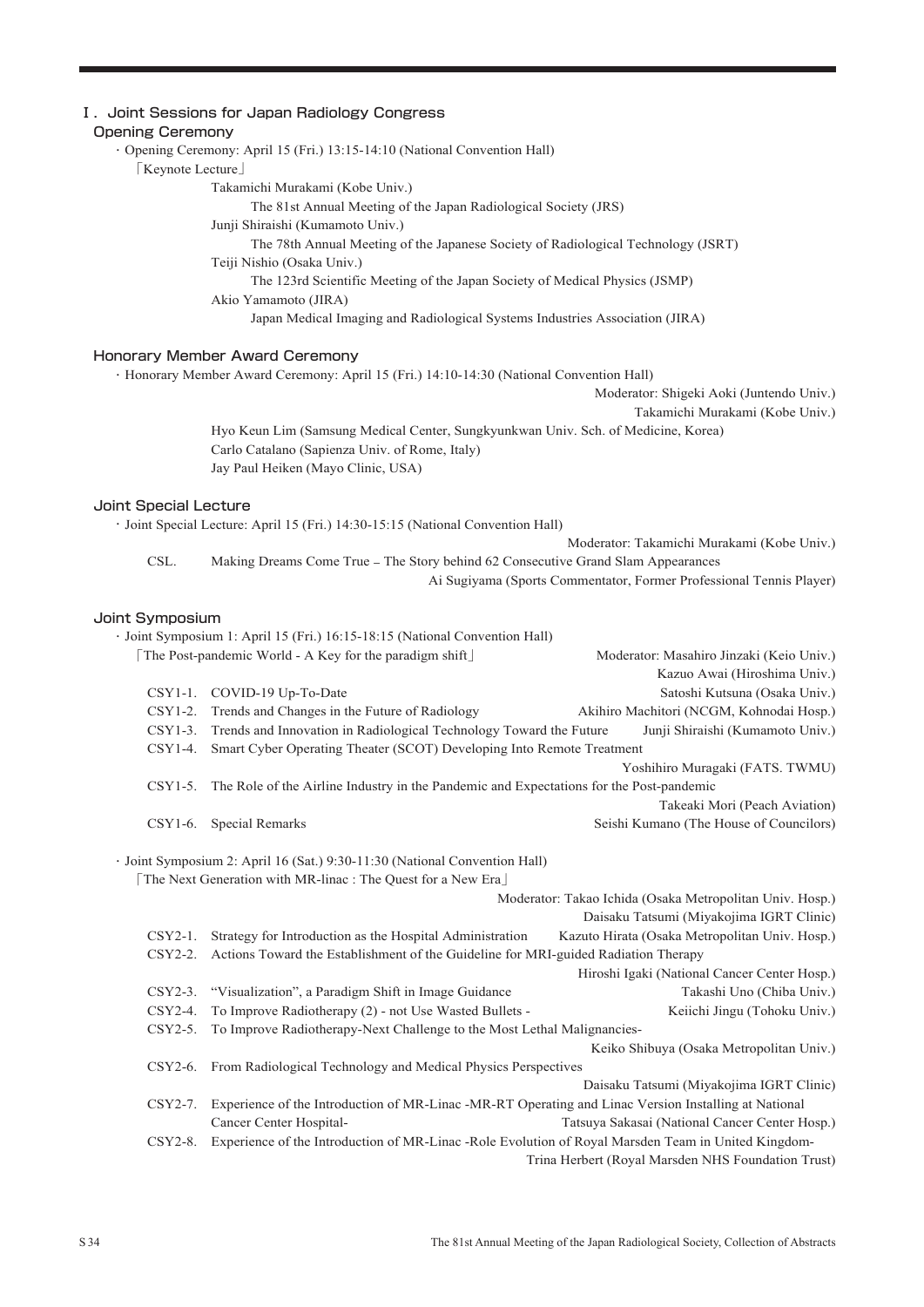## Ⅰ.Joint Sessions for Japan Radiology Congress

| <b>Opening Ceremony</b> | of the cool of our capar riddioiosy consider                                                                                   |                                                                          |
|-------------------------|--------------------------------------------------------------------------------------------------------------------------------|--------------------------------------------------------------------------|
|                         | · Opening Ceremony: April 15 (Fri.) 13:15-14:10 (National Convention Hall)                                                     |                                                                          |
| [Keynote Lecture]       |                                                                                                                                |                                                                          |
|                         | Takamichi Murakami (Kobe Univ.)                                                                                                |                                                                          |
|                         | The 81st Annual Meeting of the Japan Radiological Society (JRS)                                                                |                                                                          |
|                         | Junji Shiraishi (Kumamoto Univ.)                                                                                               |                                                                          |
|                         | The 78th Annual Meeting of the Japanese Society of Radiological Technology (JSRT)                                              |                                                                          |
|                         | Teiji Nishio (Osaka Univ.)                                                                                                     |                                                                          |
|                         | The 123rd Scientific Meeting of the Japan Society of Medical Physics (JSMP)                                                    |                                                                          |
|                         | Akio Yamamoto (JIRA)                                                                                                           |                                                                          |
|                         | Japan Medical Imaging and Radiological Systems Industries Association (JIRA)                                                   |                                                                          |
|                         | Honorary Member Award Ceremony                                                                                                 |                                                                          |
|                         | · Honorary Member Award Ceremony: April 15 (Fri.) 14:10-14:30 (National Convention Hall)                                       |                                                                          |
|                         |                                                                                                                                | Moderator: Shigeki Aoki (Juntendo Univ.)                                 |
|                         |                                                                                                                                | Takamichi Murakami (Kobe Univ.)                                          |
|                         | Hyo Keun Lim (Samsung Medical Center, Sungkyunkwan Univ. Sch. of Medicine, Korea)                                              |                                                                          |
|                         | Carlo Catalano (Sapienza Univ. of Rome, Italy)                                                                                 |                                                                          |
|                         | Jay Paul Heiken (Mayo Clinic, USA)                                                                                             |                                                                          |
|                         |                                                                                                                                |                                                                          |
| Joint Special Lecture   |                                                                                                                                |                                                                          |
|                         | · Joint Special Lecture: April 15 (Fri.) 14:30-15:15 (National Convention Hall)                                                |                                                                          |
|                         |                                                                                                                                | Moderator: Takamichi Murakami (Kobe Univ.)                               |
| CSL.                    | Making Dreams Come True - The Story behind 62 Consecutive Grand Slam Appearances                                               |                                                                          |
|                         |                                                                                                                                | Ai Sugiyama (Sports Commentator, Former Professional Tennis Player)      |
|                         |                                                                                                                                |                                                                          |
| Joint Symposium         |                                                                                                                                |                                                                          |
|                         | · Joint Symposium 1: April 15 (Fri.) 16:15-18:15 (National Convention Hall)                                                    |                                                                          |
|                         | [The Post-pandemic World - A Key for the paradigm shift]                                                                       | Moderator: Masahiro Jinzaki (Keio Univ.)<br>Kazuo Awai (Hiroshima Univ.) |
|                         | CSY1-1. COVID-19 Up-To-Date                                                                                                    | Satoshi Kutsuna (Osaka Univ.)                                            |
|                         | CSY1-2. Trends and Changes in the Future of Radiology                                                                          | Akihiro Machitori (NCGM, Kohnodai Hosp.)                                 |
| $CSY1-3.$               | Trends and Innovation in Radiological Technology Toward the Future                                                             | Junji Shiraishi (Kumamoto Univ.)                                         |
| $CSY1-4.$               | Smart Cyber Operating Theater (SCOT) Developing Into Remote Treatment                                                          |                                                                          |
|                         |                                                                                                                                | Yoshihiro Muragaki (FATS. TWMU)                                          |
| $CSY1-5.$               | The Role of the Airline Industry in the Pandemic and Expectations for the Post-pandemic                                        |                                                                          |
|                         |                                                                                                                                | Takeaki Mori (Peach Aviation)                                            |
|                         | CSY1-6. Special Remarks                                                                                                        | Seishi Kumano (The House of Councilors)                                  |
|                         |                                                                                                                                |                                                                          |
|                         | · Joint Symposium 2: April 16 (Sat.) 9:30-11:30 (National Convention Hall)                                                     |                                                                          |
|                         | [The Next Generation with MR-linac : The Quest for a New Era]                                                                  |                                                                          |
|                         |                                                                                                                                | Moderator: Takao Ichida (Osaka Metropolitan Univ. Hosp.)                 |
|                         |                                                                                                                                | Daisaku Tatsumi (Miyakojima IGRT Clinic)                                 |
| $CSY2-1.$               | Strategy for Introduction as the Hospital Administration                                                                       | Kazuto Hirata (Osaka Metropolitan Univ. Hosp.)                           |
| CSY2-2.                 | Actions Toward the Establishment of the Guideline for MRI-guided Radiation Therapy                                             |                                                                          |
|                         |                                                                                                                                | Hiroshi Igaki (National Cancer Center Hosp.)                             |
| $CSY2-3.$               | "Visualization", a Paradigm Shift in Image Guidance                                                                            | Takashi Uno (Chiba Univ.)                                                |
| CSY2-4.                 | To Improve Radiotherapy (2) - not Use Wasted Bullets -                                                                         | Keiichi Jingu (Tohoku Univ.)                                             |
| CSY2-5.                 | To Improve Radiotherapy-Next Challenge to the Most Lethal Malignancies-                                                        |                                                                          |
|                         |                                                                                                                                | Keiko Shibuya (Osaka Metropolitan Univ.)                                 |
| CSY2-6.                 | From Radiological Technology and Medical Physics Perspectives                                                                  |                                                                          |
|                         |                                                                                                                                |                                                                          |
|                         |                                                                                                                                | Daisaku Tatsumi (Miyakojima IGRT Clinic)                                 |
| $CSY2-7.$               | Experience of the Introduction of MR-Linac -MR-RT Operating and Linac Version Installing at National                           |                                                                          |
| CSY2-8.                 | Cancer Center Hospital-<br>Experience of the Introduction of MR-Linac -Role Evolution of Royal Marsden Team in United Kingdom- | Tatsuya Sakasai (National Cancer Center Hosp.)                           |